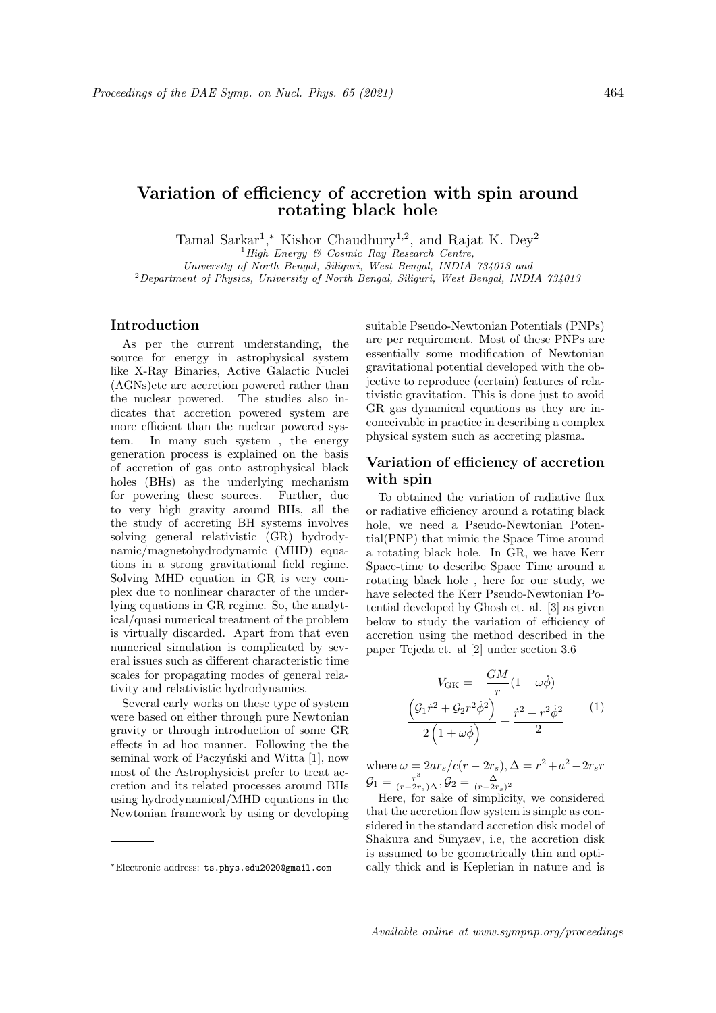# Variation of efficiency of accretion with spin around rotating black hole

Tamal Sarkar<sup>1</sup>,\* Kishor Chaudhury<sup>1,2</sup>, and Rajat K. Dey<sup>2</sup>

 ${}^{1}$  High Energy & Cosmic Ray Research Centre,

University of North Bengal, Siliguri, West Bengal, INDIA 734013 and  $2$ Department of Physics, University of North Bengal, Siliguri, West Bengal, INDIA 734013

# Introduction

As per the current understanding, the source for energy in astrophysical system like X-Ray Binaries, Active Galactic Nuclei (AGNs)etc are accretion powered rather than the nuclear powered. The studies also indicates that accretion powered system are more efficient than the nuclear powered system. In many such system , the energy generation process is explained on the basis of accretion of gas onto astrophysical black holes (BHs) as the underlying mechanism for powering these sources. Further, due to very high gravity around BHs, all the the study of accreting BH systems involves solving general relativistic (GR) hydrodynamic/magnetohydrodynamic (MHD) equations in a strong gravitational field regime. Solving MHD equation in GR is very complex due to nonlinear character of the underlying equations in GR regime. So, the analytical/quasi numerical treatment of the problem is virtually discarded. Apart from that even numerical simulation is complicated by several issues such as different characteristic time scales for propagating modes of general relativity and relativistic hydrodynamics.

Several early works on these type of system were based on either through pure Newtonian gravity or through introduction of some GR effects in ad hoc manner. Following the the seminal work of Paczyński and Witta [1], now most of the Astrophysicist prefer to treat accretion and its related processes around BHs using hydrodynamical/MHD equations in the Newtonian framework by using or developing suitable Pseudo-Newtonian Potentials (PNPs) are per requirement. Most of these PNPs are essentially some modification of Newtonian gravitational potential developed with the objective to reproduce (certain) features of relativistic gravitation. This is done just to avoid GR gas dynamical equations as they are inconceivable in practice in describing a complex physical system such as accreting plasma.

## Variation of efficiency of accretion with spin

To obtained the variation of radiative flux or radiative efficiency around a rotating black hole, we need a Pseudo-Newtonian Potential(PNP) that mimic the Space Time around a rotating black hole. In GR, we have Kerr Space-time to describe Space Time around a rotating black hole , here for our study, we have selected the Kerr Pseudo-Newtonian Potential developed by Ghosh et. al. [3] as given below to study the variation of efficiency of accretion using the method described in the paper Tejeda et. al [2] under section 3.6

$$
V_{\text{GK}} = -\frac{GM}{r}(1 - \omega\dot{\phi}) -
$$

$$
\frac{\left(\mathcal{G}_1\dot{r}^2 + \mathcal{G}_2r^2\dot{\phi}^2\right)}{2\left(1 + \omega\dot{\phi}\right)} + \frac{\dot{r}^2 + r^2\dot{\phi}^2}{2}
$$
(1)

where  $\omega = 2ar_s/c(r - 2r_s), \Delta = r^2 + a^2 - 2r_s r$  $\mathcal{G}_1=\frac{r^3}{(r-2r_s)\Delta}, \mathcal{G}_2=\frac{\Delta}{(r-2r_s)^2}$ 

Here, for sake of simplicity, we considered that the accretion flow system is simple as considered in the standard accretion disk model of Shakura and Sunyaev, i.e, the accretion disk is assumed to be geometrically thin and optically thick and is Keplerian in nature and is

<sup>∗</sup>Electronic address: ts.phys.edu2020@gmail.com